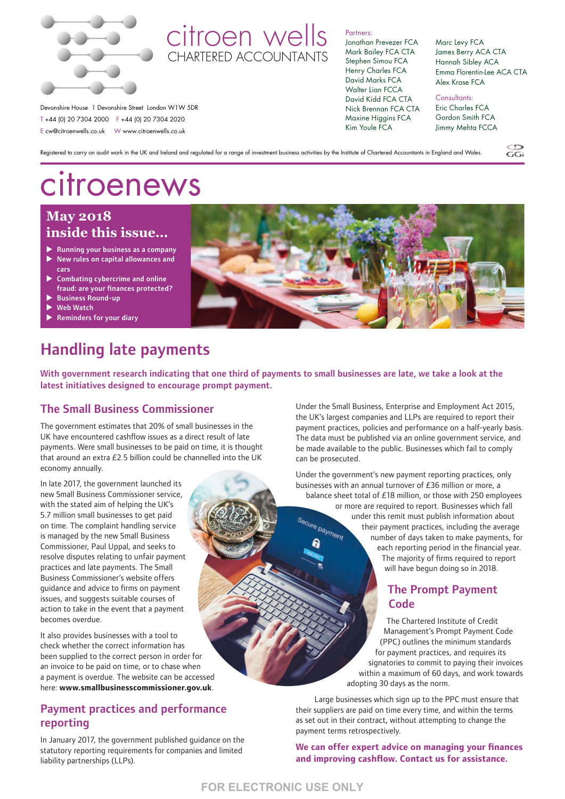

# citroen wells CHARTERED ACCOUNTANTS

#### Partners:

Jonathan Prevezer FCA Mark Bailey FCA CTA Stephen Simou FCA Henry Charles FCA David Marks FCA Walter Lian FCCA David Kidd FCA CTA Nick Brennan FCA CTA Maxine Higgins FCA Kim Youle FCA

Marc Levy FCA James Berry ACA CTA Hannah Sibley ACA Emma Florentin-Lee ACA CTA Alex Krase FCA

 $\widetilde{GC}$ 

Consultants: Eric Charles FCA Gordon Smith FCA Jimmy Mehta FCCA

Registered to carry on audit work in the UK and Ireland and regulated for a range of investment business activities by the Institute of Chartered Accountants in England and Wales.

# citroenews

Devonshire House 1 Devonshire Street London W1W 5DR T +44 (0) 20 7304 2000 F +44 (0) 20 7304 2020 E cw@citroenwells.co.uk W www.citroenwells.co.uk

# **May 2018 inside this issue…**

- $\blacktriangleright$  Running your business as a company  $\blacktriangleright$  New rules on capital allowances and cars
- $\blacktriangleright$  Combating cybercrime and online fraud: are your finances protected?
- **Business Round-up**
- Web Watch
- **Reminders for your diary**

# Handling late payments

With government research indicating that one third of payments to small businesses are late, we take a look at the latest initiatives designed to encourage prompt payment.

# The Small Business Commissioner

The government estimates that 20% of small businesses in the UK have encountered cashflow issues as a direct result of late payments. Were small businesses to be paid on time, it is thought that around an extra £2.5 billion could be channelled into the UK economy annually.

In late 2017, the government launched its new Small Business Commissioner service, with the stated aim of helping the UK's 5.7 million small businesses to get paid on time. The complaint handling service is managed by the new Small Business Commissioner, Paul Uppal, and seeks to resolve disputes relating to unfair payment practices and late payments. The Small Business Commissioner's website offers guidance and advice to firms on payment issues, and suggests suitable courses of action to take in the event that a payment becomes overdue.

It also provides businesses with a tool to check whether the correct information has been supplied to the correct person in order for an invoice to be paid on time, or to chase when a payment is overdue. The website can be accessed here: **www.smallbusinesscommissioner.gov.uk**.

# Payment practices and performance reporting

In January 2017, the government published guidance on the statutory reporting requirements for companies and limited liability partnerships (LLPs).



Under the Small Business, Enterprise and Employment Act 2015, the UK's largest companies and LLPs are required to report their payment practices, policies and performance on a half-yearly basis. The data must be published via an online government service, and be made available to the public. Businesses which fail to comply can be prosecuted.

Under the government's new payment reporting practices, only businesses with an annual turnover of £36 million or more, a

balance sheet total of £18 million, or those with 250 employees or more are required to report. Businesses which fall under this remit must publish information about Secure payment their payment practices, including the average number of days taken to make payments, for each reporting period in the financial year. The majority of firms required to report will have begun doing so in 2018.

### The Prompt Payment **Code**

The Chartered Institute of Credit Management's Prompt Payment Code (PPC) outlines the minimum standards for payment practices, and requires its signatories to commit to paying their invoices within a maximum of 60 days, and work towards adopting 30 days as the norm.

Large businesses which sign up to the PPC must ensure that their suppliers are paid on time every time, and within the terms as set out in their contract, without attempting to change the payment terms retrospectively.

**We can offer expert advice on managing your finances and improving cashflow. Contact us for assistance.**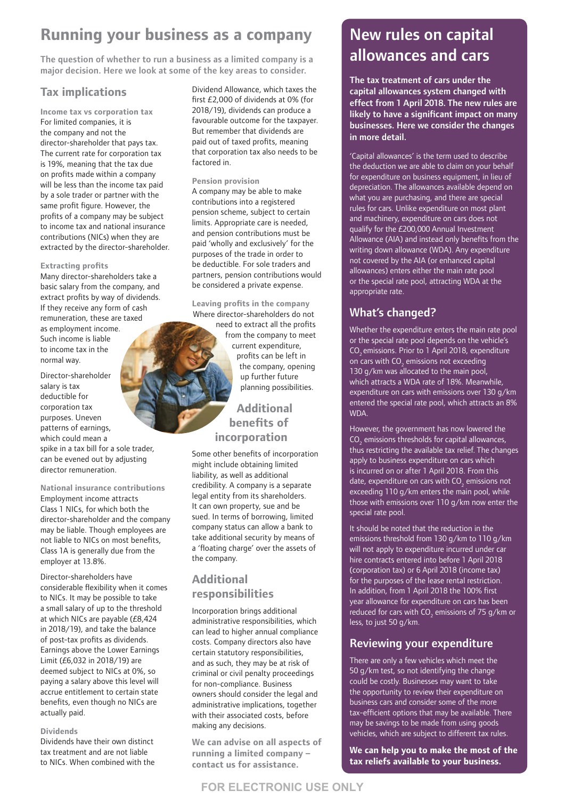# **Running your business as a company**

The question of whether to run a business as a limited company is a major decision. Here we look at some of the key areas to consider.

# **Tax implications**

**Income tax vs corporation tax** For limited companies, it is the company and not the director-shareholder that pays tax. The current rate for corporation tax is 19%, meaning that the tax due on profits made within a company will be less than the income tax paid by a sole trader or partner with the same profit figure. However, the profits of a company may be subject to income tax and national insurance contributions (NICs) when they are extracted by the director-shareholder.

#### **Extracting profits**

Many director-shareholders take a basic salary from the company, and extract profits by way of dividends. If they receive any form of cash remuneration, these are taxed as employment income. Such income is liable to income tax in the normal way.

Director-shareholder salary is tax deductible for corporation tax purposes. Uneven patterns of earnings, which could mean a spike in a tax bill for a sole trader, can be evened out by adjusting director remuneration.

**National insurance contributions**  Employment income attracts Class 1 NICs, for which both the director-shareholder and the company may be liable. Though employees are not liable to NICs on most benefits, Class 1A is generally due from the employer at 13.8%.

Director-shareholders have considerable flexibility when it comes to NICs. It may be possible to take a small salary of up to the threshold at which NICs are payable (£8,424 in 2018/19), and take the balance of post-tax profits as dividends. Earnings above the Lower Earnings Limit (£6,032 in 2018/19) are deemed subject to NICs at 0%, so paying a salary above this level will accrue entitlement to certain state benefits, even though no NICs are actually paid.

#### **Dividends**

Dividends have their own distinct tax treatment and are not liable to NICs. When combined with the Dividend Allowance, which taxes the first £2,000 of dividends at 0% (for 2018/19), dividends can produce a favourable outcome for the taxpayer. But remember that dividends are paid out of taxed profits, meaning that corporation tax also needs to be factored in.

#### **Pension provision**

A company may be able to make contributions into a registered pension scheme, subject to certain limits. Appropriate care is needed, and pension contributions must be paid 'wholly and exclusively' for the purposes of the trade in order to be deductible. For sole traders and partners, pension contributions would be considered a private expense.

**Leaving profits in the company** Where director-shareholders do not need to extract all the profits from the company to meet current expenditure, profits can be left in the company, opening up further future planning possibilities.

# **Additional benefits of incorporation**

Some other benefits of incorporation might include obtaining limited liability, as well as additional credibility. A company is a separate legal entity from its shareholders. It can own property, sue and be sued. In terms of borrowing, limited company status can allow a bank to take additional security by means of a 'floating charge' over the assets of the company.

### **Additional responsibilities**

Incorporation brings additional administrative responsibilities, which can lead to higher annual compliance costs. Company directors also have certain statutory responsibilities, and as such, they may be at risk of criminal or civil penalty proceedings for non-compliance. Business owners should consider the legal and administrative implications, together with their associated costs, before making any decisions.

**We can advise on all aspects of running a limited company – contact us for assistance.**

# New rules on capital allowances and cars

The tax treatment of cars under the capital allowances system changed with effect from 1 April 2018. The new rules are likely to have a significant impact on many businesses. Here we consider the changes in more detail.

'Capital allowances' is the term used to describe the deduction we are able to claim on your behalf for expenditure on business equipment, in lieu of depreciation. The allowances available depend on what you are purchasing, and there are special rules for cars. Unlike expenditure on most plant and machinery, expenditure on cars does not qualify for the £200,000 Annual Investment Allowance (AIA) and instead only benefits from the writing down allowance (WDA). Any expenditure not covered by the AIA (or enhanced capital allowances) enters either the main rate pool or the special rate pool, attracting WDA at the appropriate rate.

# What's changed?

Whether the expenditure enters the main rate pool or the special rate pool depends on the vehicle's CO<sub>2</sub> emissions. Prior to 1 April 2018, expenditure on cars with  $\mathsf{CO}_2$  emissions not exceeding 130 g/km was allocated to the main pool, which attracts a WDA rate of 18%. Meanwhile, expenditure on cars with emissions over 130 g/km entered the special rate pool, which attracts an 8% WDA.

However, the government has now lowered the  $\mathrm{CO}_2$  emissions thresholds for capital allowances, thus restricting the available tax relief. The changes apply to business expenditure on cars which is incurred on or after 1 April 2018. From this date, expenditure on cars with  $\text{CO}_2$  emissions not exceeding 110 g/km enters the main pool, while those with emissions over 110 g/km now enter the special rate pool.

It should be noted that the reduction in the emissions threshold from 130 g/km to 110 g/km will not apply to expenditure incurred under car hire contracts entered into before 1 April 2018 (corporation tax) or 6 April 2018 (income tax) for the purposes of the lease rental restriction. In addition, from 1 April 2018 the 100% first year allowance for expenditure on cars has been reduced for cars with CO<sub>2</sub> emissions of 75 g/km or less, to just 50 g/km.

# Reviewing your expenditure

There are only a few vehicles which meet the 50 g/km test, so not identifying the change could be costly. Businesses may want to take the opportunity to review their expenditure on business cars and consider some of the more tax-efficient options that may be available. There may be savings to be made from using goods vehicles, which are subject to different tax rules.

**We can help you to make the most of the tax reliefs available to your business.**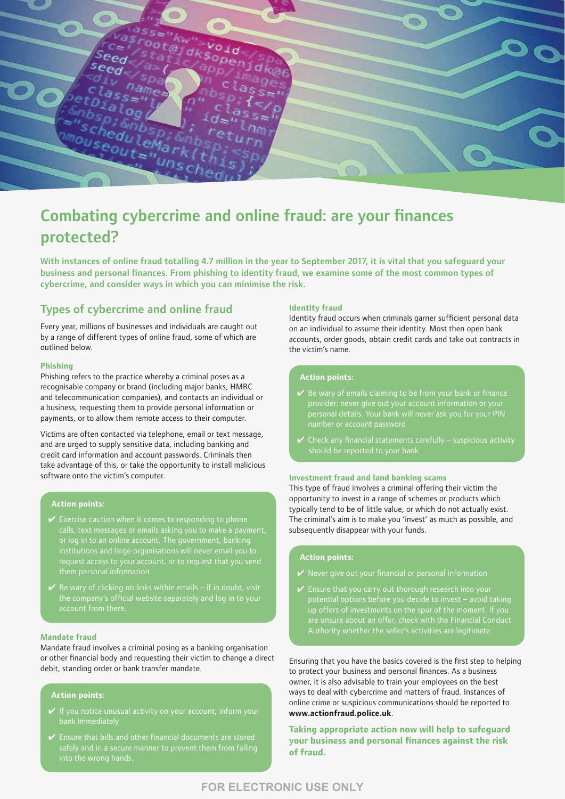

# Combating cybercrime and online fraud: are your finances protected?

With instances of online fraud totalling 4.7 million in the year to September 2017, it is vital that you safeguard your business and personal finances. From phishing to identity fraud, we examine some of the most common types of cybercrime, and consider ways in which you can minimise the risk.

### Types of cybercrime and online fraud

Every year, millions of businesses and individuals are caught out by a range of different types of online fraud, some of which are outlined below.

#### **Phishing**

Phishing refers to the practice whereby a criminal poses as a recognisable company or brand (including major banks, HMRC and telecommunication companies), and contacts an individual or a business, requesting them to provide personal information or payments, or to allow them remote access to their computer.

Victims are often contacted via telephone, email or text message, and are urged to supply sensitive data, including banking and credit card information and account passwords. Criminals then take advantage of this, or take the opportunity to install malicious software onto the victim's computer.

#### **Action points:**

- $\checkmark$  Exercise caution when it comes to responding to phone calls, text messages or emails asking you to make a payment, or log in to an online account. The government, banking
- account from there.

#### **Mandate fraud**

Mandate fraud involves a criminal posing as a banking organisation or other financial body and requesting their victim to change a direct debit, standing order or bank transfer mandate.

#### **Action points:**

- 
- 

#### **Identity fraud**

Identity fraud occurs when criminals garner sufficient personal data on an individual to assume their identity. Most then open bank accounts, order goods, obtain credit cards and take out contracts in the victim's name.

#### **Action points:**

- $\checkmark$  Be wary of emails claiming to be from your bank or finance provider: never give out your account information or your personal details. Your bank will never ask you for your PIN number or account password
- $\checkmark$  Check any financial statements carefully suspicious activity

#### **Investment fraud and land banking scams**

This type of fraud involves a criminal offering their victim the opportunity to invest in a range of schemes or products which typically tend to be of little value, or which do not actually exist. The criminal's aim is to make you 'invest' as much as possible, and subsequently disappear with your funds.

#### **Action points:**

- $\mathbf y$  Never give out your financial or personal information
- $\vee$  Ensure that you carry out thorough research into your potential options before you decide to invest – avoid taking up offers of investments on the spur of the moment. If you are unsure about an offer, check with the Financial Conduct Authority whether the seller's activities are legitimate.

Ensuring that you have the basics covered is the first step to helping to protect your business and personal finances. As a business owner, it is also advisable to train your employees on the best ways to deal with cybercrime and matters of fraud. Instances of online crime or suspicious communications should be reported to **[www.actionfraud.police.uk](http://www.actionfraud.police.uk)**.

**Taking appropriate action now will help to safeguard your business and personal finances against the risk of fraud.**